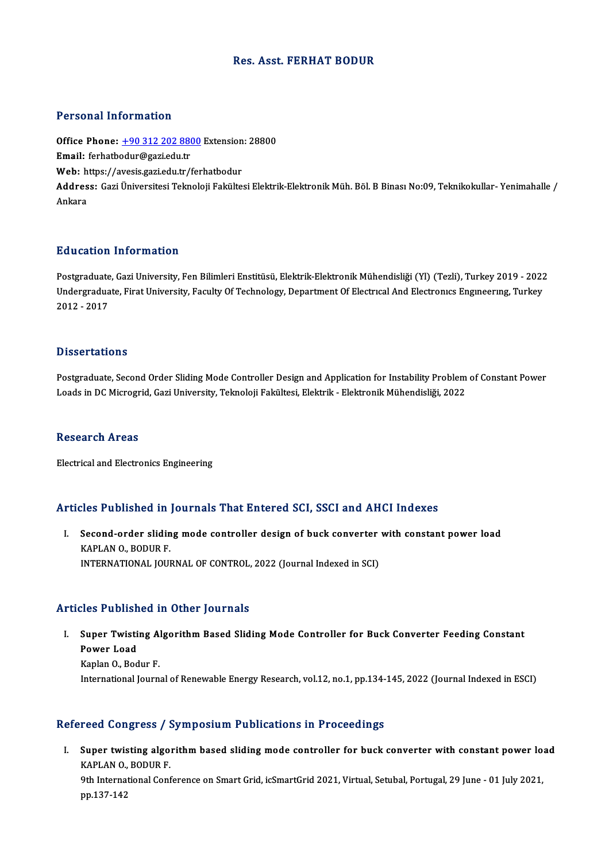## Res. Asst. FERHAT BODUR

## Personal Information

Personal Information<br>Office Phone: <u>+90 312 202 8800</u> Extension: 28800<br>Email: forbathodur@aari.edu.tr 1 STOOMET INTO THESSIT<br>Office Phone: <u>+90 312 202 880</u><br>Email: ferhatb[odur@gazi.edu.tr](tel:+90 312 202 8800) Office Phone: <u>+90 312 202 8800</u> Extension<br>Email: ferhatbodur@gazi.edu.tr<br>Web: https://avesis.gazi.edu.tr/ferhatbodur Email: ferhatbodur@gazi.edu.tr<br>Web: https://avesis.gazi.edu.tr/ferhatbodur<br>Address: Gazi Üniversitesi Teknoloji Fakültesi Elektrik-Elektronik Müh. Böl. B Binası No:09, Teknikokullar- Yenimahalle /<br>Ankara Web: https://avesis.gazi.edu.tr/ferhatbodur

# Education Information

**Education Information<br>Postgraduate, Gazi University, Fen Bilimleri Enstitüsü, Elektrik-Elektronik Mühendisliği (Yl) (Tezli), Turkey 2019 - 2022<br>Undergraduate, Einst University, Feculty Of Technology, Denartment Of Electro** Du u outror, Trivor Inderon<br>Postgraduate, Gazi University, Fen Bilimleri Enstitüsü, Elektrik-Elektronik Mühendisliği (Yl) (Tezli), Turkey 2019 - 2022<br>Undergraduate, Firat University, Faculty Of Technology, Department Of El Postgraduate<br>Undergradua<br>2012 - 2017 2012 - 2017<br>Dissertations

Dissertations<br>Postgraduate, Second Order Sliding Mode Controller Design and Application for Instability Problem of Constant Power<br>Loads in DC Microgrid, Cari University, Telmoloji Felsiltesi, Flektral, Flektronik Mühandiel D'isser tatre'ns<br>Postgraduate, Second Order Sliding Mode Controller Design and Application for Instability Problem<br>Loads in DC Microgrid, Gazi University, Teknoloji Fakültesi, Elektrik - Elektronik Mühendisliği, 2022 Loads in DC Microgrid, Gazi University, Teknoloji Fakültesi, Elektrik - Elektronik Mühendisliği, 2022<br>Research Areas

Electrical and Electronics Engineering

# Articles Published in Journals That Entered SCI, SSCI and AHCI Indexes

rticles Published in Journals That Entered SCI, SSCI and AHCI Indexes<br>I. Second-order sliding mode controller design of buck converter with constant power load Second-order slidin<br>KAPLAN 0., BODUR F.<br>INTERNATIONAL JOU KAPLAN O., BODUR F.<br>INTERNATIONAL JOURNAL OF CONTROL, 2022 (Journal Indexed in SCI)

### Articles Published in Other Journals

rticles Published in Other Journals<br>I. Super Twisting Algorithm Based Sliding Mode Controller for Buck Converter Feeding Constant<br>Rower Lood Super Twisti<br>Power Load<br><sup>Konlon O, Bod</sup> Power Load<br>Kaplan O., Bodur F. International Journal of Renewable Energy Research, vol.12, no.1, pp.134-145, 2022 (Journal Indexed in ESCI)

## Refereed Congress / Symposium Publications in Proceedings

efereed Congress / Symposium Publications in Proceedings<br>I. Super twisting algorithm based sliding mode controller for buck converter with constant power load Super twisting algo:<br>KAPLAN 0., BODUR F.<br>0th International Conf Super twisting algorithm based sliding mode controller for buck converter with constant power lo:<br>KAPLAN 0., BODUR F.<br>9th International Conference on Smart Grid, icSmartGrid 2021, Virtual, Setubal, Portugal, 29 June - 01 J KAPLAN O., BODUR F.<br>9th International Conference on Smart Grid, icSmartGrid 2021, Virtual, Setubal, Portugal, 29 June - 01 July 2021,<br>pp.137-142